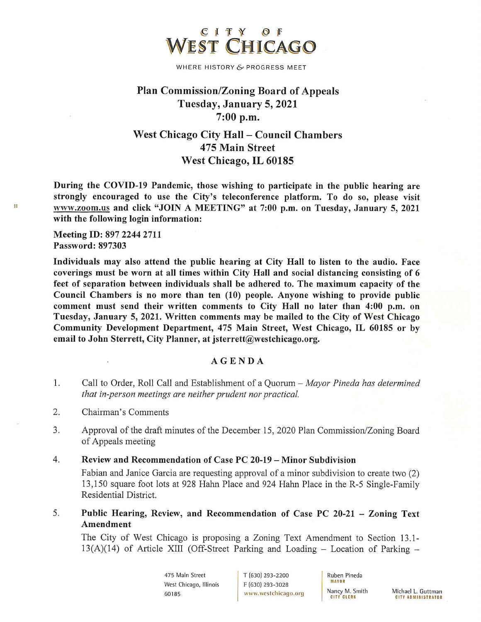

WHERE HISTORY & PROGRESS MEET

# **Plan Commission/Zoning Board of Appeals** Tuesday, January 5, 2021  $7:00$  p.m.

## **West Chicago City Hall - Council Chambers** 475 Main Street West Chicago, IL 60185

During the COVID-19 Pandemic, those wishing to participate in the public hearing are strongly encouraged to use the City's teleconference platform. To do so, please visit www.zoom.us and click "JOIN A MEETING" at 7:00 p.m. on Tuesday, January 5, 2021 with the following login information:

Meeting ID: 897 2244 2711 Password: 897303

Individuals may also attend the public hearing at City Hall to listen to the audio. Face coverings must be worn at all times within City Hall and social distancing consisting of 6 feet of separation between individuals shall be adhered to. The maximum capacity of the Council Chambers is no more than ten (10) people. Anyone wishing to provide public comment must send their written comments to City Hall no later than 4:00 p.m. on Tuesday, January 5, 2021. Written comments may be mailed to the City of West Chicago Community Development Department, 475 Main Street, West Chicago, IL 60185 or by email to John Sterrett, City Planner, at jsterrett@westchicago.org.

#### AGENDA

- 1. Call to Order, Roll Call and Establishment of a Quorum – Mayor Pineda has determined that in-person meetings are neither prudent nor practical.
- $\overline{2}$ . Chairman's Comments
- 3. Approval of the draft minutes of the December 15, 2020 Plan Commission/Zoning Board of Appeals meeting
- 4. Review and Recommendation of Case PC 20-19 – Minor Subdivision

Fabian and Janice Garcia are requesting approval of a minor subdivision to create two (2) 13,150 square foot lots at 928 Hahn Place and 924 Hahn Place in the R-5 Single-Family Residential District.

Public Hearing, Review, and Recommendation of Case PC 20-21 - Zoning Text 5. Amendment

The City of West Chicago is proposing a Zoning Text Amendment to Section 13.1- $13(A)(14)$  of Article XIII (Off-Street Parking and Loading – Location of Parking –

> 475 Main Street West Chicago, Illinois 60185

T (630) 293-2200 F (630) 293-3028 www.westchicago.org Ruben Pineda **MAYOR** Nancy M. Smith **CITY CLERK** 

Michael L. Guttman **CITY ADMINISTRATOR** 

ģ.